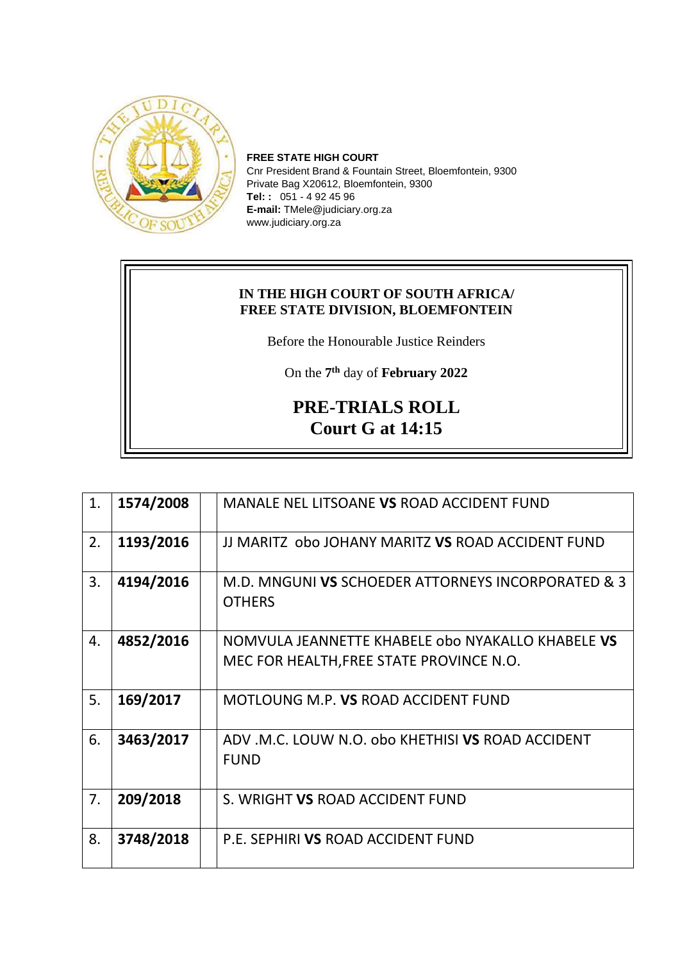

**FREE STATE HIGH COURT** Cnr President Brand & Fountain Street, Bloemfontein, 9300 Private Bag X20612, Bloemfontein, 9300 **Tel: :** 051 - 4 92 45 96 **E-mail:** TMele@judiciary.org.za www.judiciary.org.za

## **IN THE HIGH COURT OF SOUTH AFRICA/ FREE STATE DIVISION, BLOEMFONTEIN**

Before the Honourable Justice Reinders

On the **7 th** day of **February 2022**

## **PRE-TRIALS ROLL Court G at 14:15**

| 1. | 1574/2008 | MANALE NEL LITSOANE VS ROAD ACCIDENT FUND                                                     |
|----|-----------|-----------------------------------------------------------------------------------------------|
| 2. | 1193/2016 | JJ MARITZ obo JOHANY MARITZ VS ROAD ACCIDENT FUND                                             |
| 3. | 4194/2016 | M.D. MNGUNI VS SCHOEDER ATTORNEYS INCORPORATED & 3<br><b>OTHERS</b>                           |
| 4. | 4852/2016 | NOMVULA JEANNETTE KHABELE obo NYAKALLO KHABELE VS<br>MEC FOR HEALTH, FREE STATE PROVINCE N.O. |
| 5. | 169/2017  | MOTLOUNG M.P. VS ROAD ACCIDENT FUND                                                           |
| 6. | 3463/2017 | ADV .M.C. LOUW N.O. obo KHETHISI VS ROAD ACCIDENT<br><b>FUND</b>                              |
| 7. | 209/2018  | S. WRIGHT VS ROAD ACCIDENT FUND                                                               |
| 8. | 3748/2018 | P.E. SEPHIRI VS ROAD ACCIDENT FUND                                                            |